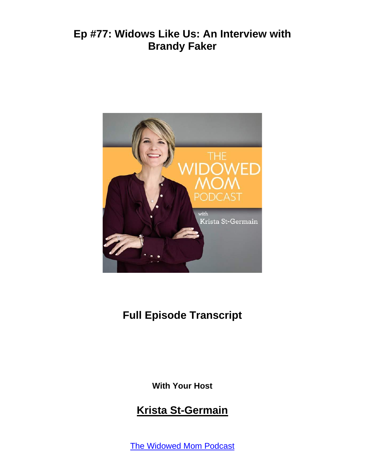

# **Full Episode Transcript**

**With Your Host**

#### **Krista St-Germain**

The [Widowed](https://coachingwithkrista.com/podcast) Mom Podcast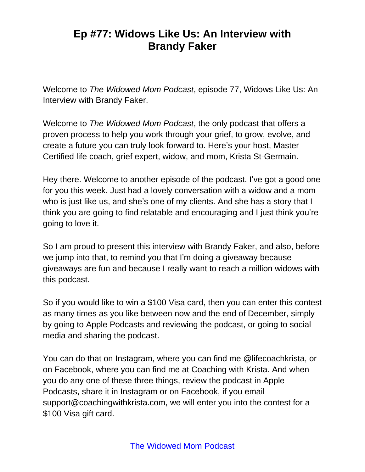Welcome to *The Widowed Mom Podcast*, episode 77, Widows Like Us: An Interview with Brandy Faker.

Welcome to *The Widowed Mom Podcast*, the only podcast that offers a proven process to help you work through your grief, to grow, evolve, and create a future you can truly look forward to. Here's your host, Master Certified life coach, grief expert, widow, and mom, Krista St-Germain.

Hey there. Welcome to another episode of the podcast. I've got a good one for you this week. Just had a lovely conversation with a widow and a mom who is just like us, and she's one of my clients. And she has a story that I think you are going to find relatable and encouraging and I just think you're going to love it.

So I am proud to present this interview with Brandy Faker, and also, before we jump into that, to remind you that I'm doing a giveaway because giveaways are fun and because I really want to reach a million widows with this podcast.

So if you would like to win a \$100 Visa card, then you can enter this contest as many times as you like between now and the end of December, simply by going to Apple Podcasts and reviewing the podcast, or going to social media and sharing the podcast.

You can do that on Instagram, where you can find me @lifecoachkrista, or on Facebook, where you can find me at Coaching with Krista. And when you do any one of these three things, review the podcast in Apple Podcasts, share it in Instagram or on Facebook, if you email support@coachingwithkrista.com, we will enter you into the contest for a \$100 Visa gift card.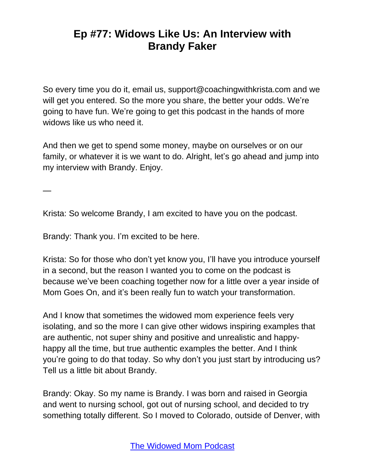So every time you do it, email us, support@coachingwithkrista.com and we will get you entered. So the more you share, the better your odds. We're going to have fun. We're going to get this podcast in the hands of more widows like us who need it.

And then we get to spend some money, maybe on ourselves or on our family, or whatever it is we want to do. Alright, let's go ahead and jump into my interview with Brandy. Enjoy.

—

Krista: So welcome Brandy, I am excited to have you on the podcast.

Brandy: Thank you. I'm excited to be here.

Krista: So for those who don't yet know you, I'll have you introduce yourself in a second, but the reason I wanted you to come on the podcast is because we've been coaching together now for a little over a year inside of Mom Goes On, and it's been really fun to watch your transformation.

And I know that sometimes the widowed mom experience feels very isolating, and so the more I can give other widows inspiring examples that are authentic, not super shiny and positive and unrealistic and happyhappy all the time, but true authentic examples the better. And I think you're going to do that today. So why don't you just start by introducing us? Tell us a little bit about Brandy.

Brandy: Okay. So my name is Brandy. I was born and raised in Georgia and went to nursing school, got out of nursing school, and decided to try something totally different. So I moved to Colorado, outside of Denver, with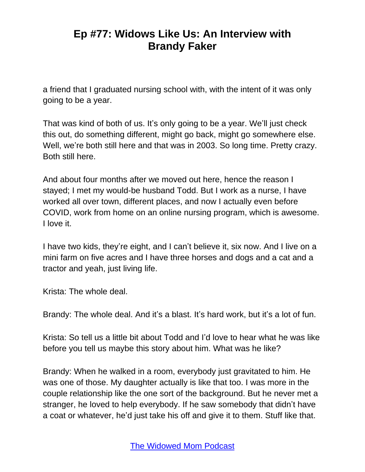a friend that I graduated nursing school with, with the intent of it was only going to be a year.

That was kind of both of us. It's only going to be a year. We'll just check this out, do something different, might go back, might go somewhere else. Well, we're both still here and that was in 2003. So long time. Pretty crazy. Both still here.

And about four months after we moved out here, hence the reason I stayed; I met my would-be husband Todd. But I work as a nurse, I have worked all over town, different places, and now I actually even before COVID, work from home on an online nursing program, which is awesome. I love it.

I have two kids, they're eight, and I can't believe it, six now. And I live on a mini farm on five acres and I have three horses and dogs and a cat and a tractor and yeah, just living life.

Krista: The whole deal.

Brandy: The whole deal. And it's a blast. It's hard work, but it's a lot of fun.

Krista: So tell us a little bit about Todd and I'd love to hear what he was like before you tell us maybe this story about him. What was he like?

Brandy: When he walked in a room, everybody just gravitated to him. He was one of those. My daughter actually is like that too. I was more in the couple relationship like the one sort of the background. But he never met a stranger, he loved to help everybody. If he saw somebody that didn't have a coat or whatever, he'd just take his off and give it to them. Stuff like that.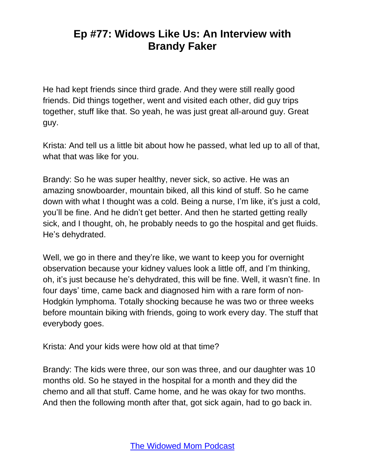He had kept friends since third grade. And they were still really good friends. Did things together, went and visited each other, did guy trips together, stuff like that. So yeah, he was just great all-around guy. Great guy.

Krista: And tell us a little bit about how he passed, what led up to all of that, what that was like for you.

Brandy: So he was super healthy, never sick, so active. He was an amazing snowboarder, mountain biked, all this kind of stuff. So he came down with what I thought was a cold. Being a nurse, I'm like, it's just a cold, you'll be fine. And he didn't get better. And then he started getting really sick, and I thought, oh, he probably needs to go the hospital and get fluids. He's dehydrated.

Well, we go in there and they're like, we want to keep you for overnight observation because your kidney values look a little off, and I'm thinking, oh, it's just because he's dehydrated, this will be fine. Well, it wasn't fine. In four days' time, came back and diagnosed him with a rare form of non-Hodgkin lymphoma. Totally shocking because he was two or three weeks before mountain biking with friends, going to work every day. The stuff that everybody goes.

Krista: And your kids were how old at that time?

Brandy: The kids were three, our son was three, and our daughter was 10 months old. So he stayed in the hospital for a month and they did the chemo and all that stuff. Came home, and he was okay for two months. And then the following month after that, got sick again, had to go back in.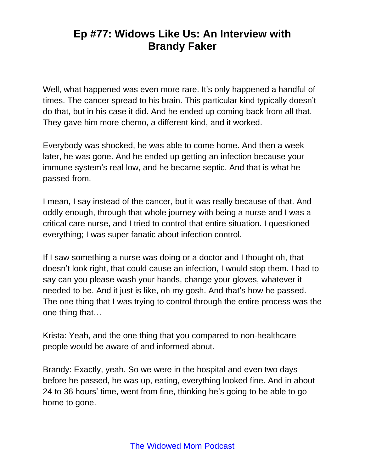Well, what happened was even more rare. It's only happened a handful of times. The cancer spread to his brain. This particular kind typically doesn't do that, but in his case it did. And he ended up coming back from all that. They gave him more chemo, a different kind, and it worked.

Everybody was shocked, he was able to come home. And then a week later, he was gone. And he ended up getting an infection because your immune system's real low, and he became septic. And that is what he passed from.

I mean, I say instead of the cancer, but it was really because of that. And oddly enough, through that whole journey with being a nurse and I was a critical care nurse, and I tried to control that entire situation. I questioned everything; I was super fanatic about infection control.

If I saw something a nurse was doing or a doctor and I thought oh, that doesn't look right, that could cause an infection, I would stop them. I had to say can you please wash your hands, change your gloves, whatever it needed to be. And it just is like, oh my gosh. And that's how he passed. The one thing that I was trying to control through the entire process was the one thing that…

Krista: Yeah, and the one thing that you compared to non-healthcare people would be aware of and informed about.

Brandy: Exactly, yeah. So we were in the hospital and even two days before he passed, he was up, eating, everything looked fine. And in about 24 to 36 hours' time, went from fine, thinking he's going to be able to go home to gone.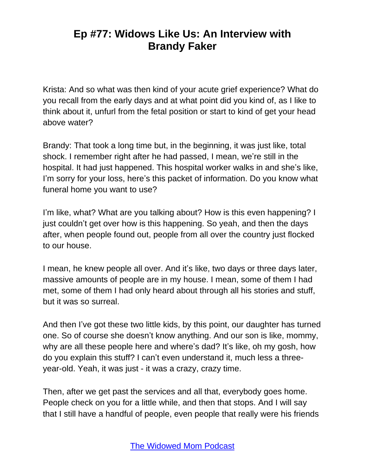Krista: And so what was then kind of your acute grief experience? What do you recall from the early days and at what point did you kind of, as I like to think about it, unfurl from the fetal position or start to kind of get your head above water?

Brandy: That took a long time but, in the beginning, it was just like, total shock. I remember right after he had passed, I mean, we're still in the hospital. It had just happened. This hospital worker walks in and she's like, I'm sorry for your loss, here's this packet of information. Do you know what funeral home you want to use?

I'm like, what? What are you talking about? How is this even happening? I just couldn't get over how is this happening. So yeah, and then the days after, when people found out, people from all over the country just flocked to our house.

I mean, he knew people all over. And it's like, two days or three days later, massive amounts of people are in my house. I mean, some of them I had met, some of them I had only heard about through all his stories and stuff, but it was so surreal.

And then I've got these two little kids, by this point, our daughter has turned one. So of course she doesn't know anything. And our son is like, mommy, why are all these people here and where's dad? It's like, oh my gosh, how do you explain this stuff? I can't even understand it, much less a threeyear-old. Yeah, it was just - it was a crazy, crazy time.

Then, after we get past the services and all that, everybody goes home. People check on you for a little while, and then that stops. And I will say that I still have a handful of people, even people that really were his friends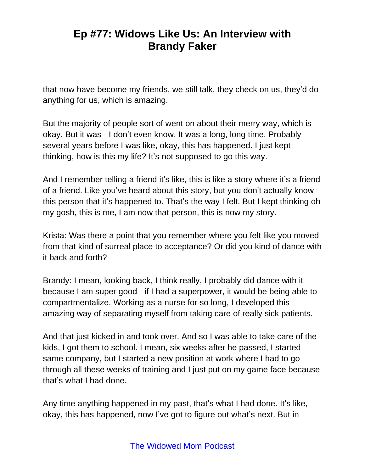that now have become my friends, we still talk, they check on us, they'd do anything for us, which is amazing.

But the majority of people sort of went on about their merry way, which is okay. But it was - I don't even know. It was a long, long time. Probably several years before I was like, okay, this has happened. I just kept thinking, how is this my life? It's not supposed to go this way.

And I remember telling a friend it's like, this is like a story where it's a friend of a friend. Like you've heard about this story, but you don't actually know this person that it's happened to. That's the way I felt. But I kept thinking oh my gosh, this is me, I am now that person, this is now my story.

Krista: Was there a point that you remember where you felt like you moved from that kind of surreal place to acceptance? Or did you kind of dance with it back and forth?

Brandy: I mean, looking back, I think really, I probably did dance with it because I am super good - if I had a superpower, it would be being able to compartmentalize. Working as a nurse for so long, I developed this amazing way of separating myself from taking care of really sick patients.

And that just kicked in and took over. And so I was able to take care of the kids, I got them to school. I mean, six weeks after he passed, I started same company, but I started a new position at work where I had to go through all these weeks of training and I just put on my game face because that's what I had done.

Any time anything happened in my past, that's what I had done. It's like, okay, this has happened, now I've got to figure out what's next. But in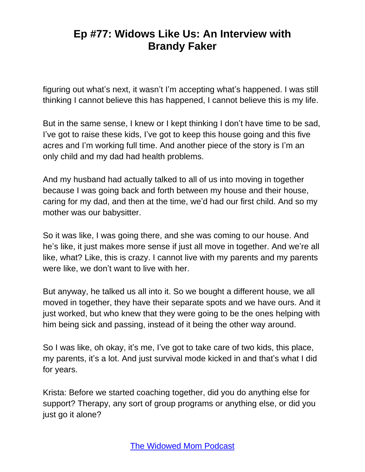figuring out what's next, it wasn't I'm accepting what's happened. I was still thinking I cannot believe this has happened, I cannot believe this is my life.

But in the same sense, I knew or I kept thinking I don't have time to be sad, I've got to raise these kids, I've got to keep this house going and this five acres and I'm working full time. And another piece of the story is I'm an only child and my dad had health problems.

And my husband had actually talked to all of us into moving in together because I was going back and forth between my house and their house, caring for my dad, and then at the time, we'd had our first child. And so my mother was our babysitter.

So it was like, I was going there, and she was coming to our house. And he's like, it just makes more sense if just all move in together. And we're all like, what? Like, this is crazy. I cannot live with my parents and my parents were like, we don't want to live with her.

But anyway, he talked us all into it. So we bought a different house, we all moved in together, they have their separate spots and we have ours. And it just worked, but who knew that they were going to be the ones helping with him being sick and passing, instead of it being the other way around.

So I was like, oh okay, it's me, I've got to take care of two kids, this place, my parents, it's a lot. And just survival mode kicked in and that's what I did for years.

Krista: Before we started coaching together, did you do anything else for support? Therapy, any sort of group programs or anything else, or did you just go it alone?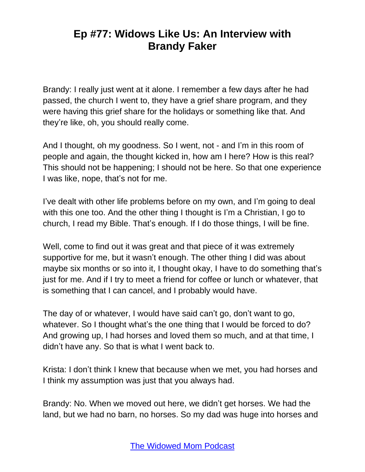Brandy: I really just went at it alone. I remember a few days after he had passed, the church I went to, they have a grief share program, and they were having this grief share for the holidays or something like that. And they're like, oh, you should really come.

And I thought, oh my goodness. So I went, not - and I'm in this room of people and again, the thought kicked in, how am I here? How is this real? This should not be happening; I should not be here. So that one experience I was like, nope, that's not for me.

I've dealt with other life problems before on my own, and I'm going to deal with this one too. And the other thing I thought is I'm a Christian, I go to church, I read my Bible. That's enough. If I do those things, I will be fine.

Well, come to find out it was great and that piece of it was extremely supportive for me, but it wasn't enough. The other thing I did was about maybe six months or so into it, I thought okay, I have to do something that's just for me. And if I try to meet a friend for coffee or lunch or whatever, that is something that I can cancel, and I probably would have.

The day of or whatever, I would have said can't go, don't want to go, whatever. So I thought what's the one thing that I would be forced to do? And growing up, I had horses and loved them so much, and at that time, I didn't have any. So that is what I went back to.

Krista: I don't think I knew that because when we met, you had horses and I think my assumption was just that you always had.

Brandy: No. When we moved out here, we didn't get horses. We had the land, but we had no barn, no horses. So my dad was huge into horses and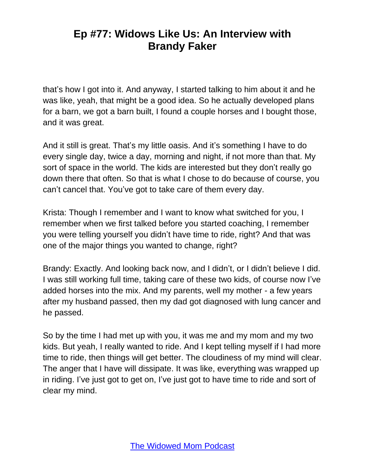that's how I got into it. And anyway, I started talking to him about it and he was like, yeah, that might be a good idea. So he actually developed plans for a barn, we got a barn built, I found a couple horses and I bought those, and it was great.

And it still is great. That's my little oasis. And it's something I have to do every single day, twice a day, morning and night, if not more than that. My sort of space in the world. The kids are interested but they don't really go down there that often. So that is what I chose to do because of course, you can't cancel that. You've got to take care of them every day.

Krista: Though I remember and I want to know what switched for you, I remember when we first talked before you started coaching, I remember you were telling yourself you didn't have time to ride, right? And that was one of the major things you wanted to change, right?

Brandy: Exactly. And looking back now, and I didn't, or I didn't believe I did. I was still working full time, taking care of these two kids, of course now I've added horses into the mix. And my parents, well my mother - a few years after my husband passed, then my dad got diagnosed with lung cancer and he passed.

So by the time I had met up with you, it was me and my mom and my two kids. But yeah, I really wanted to ride. And I kept telling myself if I had more time to ride, then things will get better. The cloudiness of my mind will clear. The anger that I have will dissipate. It was like, everything was wrapped up in riding. I've just got to get on, I've just got to have time to ride and sort of clear my mind.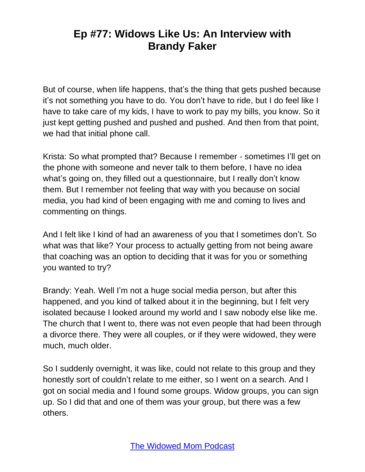But of course, when life happens, that's the thing that gets pushed because it's not something you have to do. You don't have to ride, but I do feel like I have to take care of my kids, I have to work to pay my bills, you know. So it just kept getting pushed and pushed and pushed. And then from that point, we had that initial phone call.

Krista: So what prompted that? Because I remember - sometimes I'll get on the phone with someone and never talk to them before, I have no idea what's going on, they filled out a questionnaire, but I really don't know them. But I remember not feeling that way with you because on social media, you had kind of been engaging with me and coming to lives and commenting on things.

And I felt like I kind of had an awareness of you that I sometimes don't. So what was that like? Your process to actually getting from not being aware that coaching was an option to deciding that it was for you or something you wanted to try?

Brandy: Yeah. Well I'm not a huge social media person, but after this happened, and you kind of talked about it in the beginning, but I felt very isolated because I looked around my world and I saw nobody else like me. The church that I went to, there was not even people that had been through a divorce there. They were all couples, or if they were widowed, they were much, much older.

So I suddenly overnight, it was like, could not relate to this group and they honestly sort of couldn't relate to me either, so I went on a search. And I got on social media and I found some groups. Widow groups, you can sign up. So I did that and one of them was your group, but there was a few others.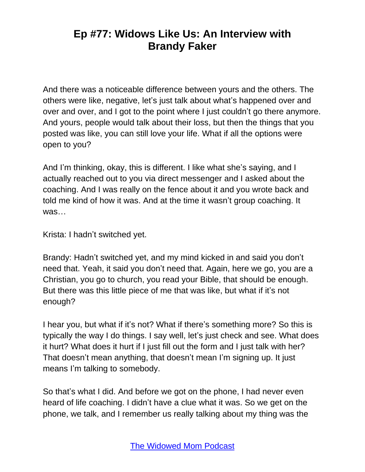And there was a noticeable difference between yours and the others. The others were like, negative, let's just talk about what's happened over and over and over, and I got to the point where I just couldn't go there anymore. And yours, people would talk about their loss, but then the things that you posted was like, you can still love your life. What if all the options were open to you?

And I'm thinking, okay, this is different. I like what she's saying, and I actually reached out to you via direct messenger and I asked about the coaching. And I was really on the fence about it and you wrote back and told me kind of how it was. And at the time it wasn't group coaching. It was…

Krista: I hadn't switched yet.

Brandy: Hadn't switched yet, and my mind kicked in and said you don't need that. Yeah, it said you don't need that. Again, here we go, you are a Christian, you go to church, you read your Bible, that should be enough. But there was this little piece of me that was like, but what if it's not enough?

I hear you, but what if it's not? What if there's something more? So this is typically the way I do things. I say well, let's just check and see. What does it hurt? What does it hurt if I just fill out the form and I just talk with her? That doesn't mean anything, that doesn't mean I'm signing up. It just means I'm talking to somebody.

So that's what I did. And before we got on the phone, I had never even heard of life coaching. I didn't have a clue what it was. So we get on the phone, we talk, and I remember us really talking about my thing was the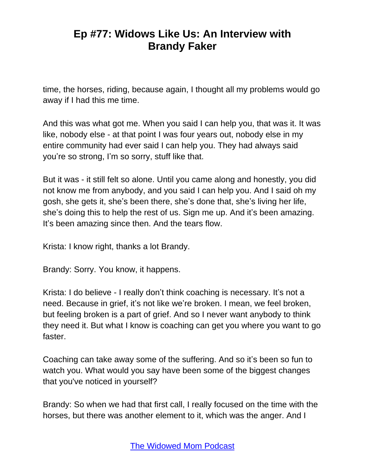time, the horses, riding, because again, I thought all my problems would go away if I had this me time.

And this was what got me. When you said I can help you, that was it. It was like, nobody else - at that point I was four years out, nobody else in my entire community had ever said I can help you. They had always said you're so strong, I'm so sorry, stuff like that.

But it was - it still felt so alone. Until you came along and honestly, you did not know me from anybody, and you said I can help you. And I said oh my gosh, she gets it, she's been there, she's done that, she's living her life, she's doing this to help the rest of us. Sign me up. And it's been amazing. It's been amazing since then. And the tears flow.

Krista: I know right, thanks a lot Brandy.

Brandy: Sorry. You know, it happens.

Krista: I do believe - I really don't think coaching is necessary. It's not a need. Because in grief, it's not like we're broken. I mean, we feel broken, but feeling broken is a part of grief. And so I never want anybody to think they need it. But what I know is coaching can get you where you want to go faster.

Coaching can take away some of the suffering. And so it's been so fun to watch you. What would you say have been some of the biggest changes that you've noticed in yourself?

Brandy: So when we had that first call, I really focused on the time with the horses, but there was another element to it, which was the anger. And I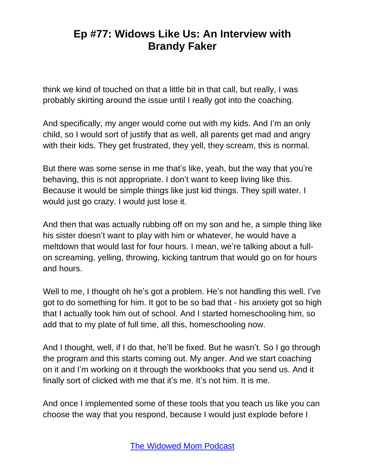think we kind of touched on that a little bit in that call, but really, I was probably skirting around the issue until I really got into the coaching.

And specifically, my anger would come out with my kids. And I'm an only child, so I would sort of justify that as well, all parents get mad and angry with their kids. They get frustrated, they yell, they scream, this is normal.

But there was some sense in me that's like, yeah, but the way that you're behaving, this is not appropriate. I don't want to keep living like this. Because it would be simple things like just kid things. They spill water. I would just go crazy. I would just lose it.

And then that was actually rubbing off on my son and he, a simple thing like his sister doesn't want to play with him or whatever, he would have a meltdown that would last for four hours. I mean, we're talking about a fullon screaming, yelling, throwing, kicking tantrum that would go on for hours and hours.

Well to me, I thought oh he's got a problem. He's not handling this well. I've got to do something for him. It got to be so bad that - his anxiety got so high that I actually took him out of school. And I started homeschooling him, so add that to my plate of full time, all this, homeschooling now.

And I thought, well, if I do that, he'll be fixed. But he wasn't. So I go through the program and this starts coming out. My anger. And we start coaching on it and I'm working on it through the workbooks that you send us. And it finally sort of clicked with me that it's me. It's not him. It is me.

And once I implemented some of these tools that you teach us like you can choose the way that you respond, because I would just explode before I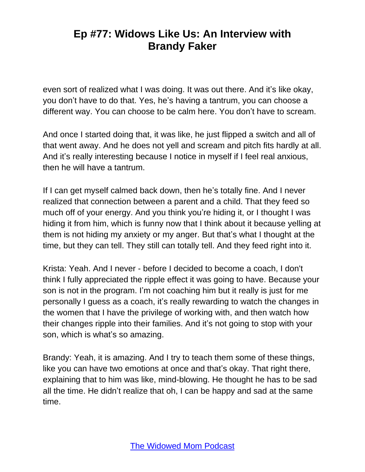even sort of realized what I was doing. It was out there. And it's like okay, you don't have to do that. Yes, he's having a tantrum, you can choose a different way. You can choose to be calm here. You don't have to scream.

And once I started doing that, it was like, he just flipped a switch and all of that went away. And he does not yell and scream and pitch fits hardly at all. And it's really interesting because I notice in myself if I feel real anxious, then he will have a tantrum.

If I can get myself calmed back down, then he's totally fine. And I never realized that connection between a parent and a child. That they feed so much off of your energy. And you think you're hiding it, or I thought I was hiding it from him, which is funny now that I think about it because yelling at them is not hiding my anxiety or my anger. But that's what I thought at the time, but they can tell. They still can totally tell. And they feed right into it.

Krista: Yeah. And I never - before I decided to become a coach, I don't think I fully appreciated the ripple effect it was going to have. Because your son is not in the program. I'm not coaching him but it really is just for me personally I guess as a coach, it's really rewarding to watch the changes in the women that I have the privilege of working with, and then watch how their changes ripple into their families. And it's not going to stop with your son, which is what's so amazing.

Brandy: Yeah, it is amazing. And I try to teach them some of these things, like you can have two emotions at once and that's okay. That right there, explaining that to him was like, mind-blowing. He thought he has to be sad all the time. He didn't realize that oh, I can be happy and sad at the same time.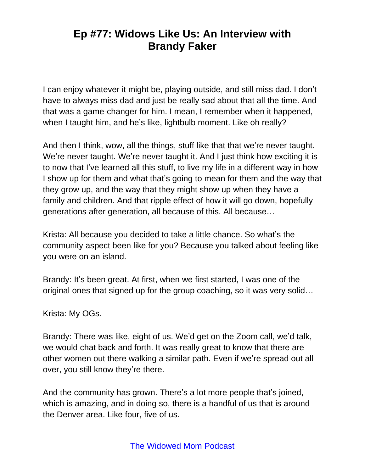I can enjoy whatever it might be, playing outside, and still miss dad. I don't have to always miss dad and just be really sad about that all the time. And that was a game-changer for him. I mean, I remember when it happened, when I taught him, and he's like, lightbulb moment. Like oh really?

And then I think, wow, all the things, stuff like that that we're never taught. We're never taught. We're never taught it. And I just think how exciting it is to now that I've learned all this stuff, to live my life in a different way in how I show up for them and what that's going to mean for them and the way that they grow up, and the way that they might show up when they have a family and children. And that ripple effect of how it will go down, hopefully generations after generation, all because of this. All because…

Krista: All because you decided to take a little chance. So what's the community aspect been like for you? Because you talked about feeling like you were on an island.

Brandy: It's been great. At first, when we first started, I was one of the original ones that signed up for the group coaching, so it was very solid…

Krista: My OGs.

Brandy: There was like, eight of us. We'd get on the Zoom call, we'd talk, we would chat back and forth. It was really great to know that there are other women out there walking a similar path. Even if we're spread out all over, you still know they're there.

And the community has grown. There's a lot more people that's joined, which is amazing, and in doing so, there is a handful of us that is around the Denver area. Like four, five of us.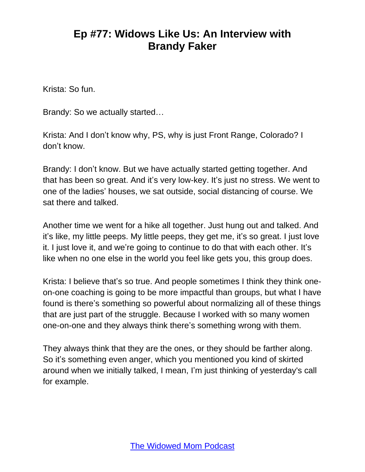Krista: So fun.

Brandy: So we actually started…

Krista: And I don't know why, PS, why is just Front Range, Colorado? I don't know.

Brandy: I don't know. But we have actually started getting together. And that has been so great. And it's very low-key. It's just no stress. We went to one of the ladies' houses, we sat outside, social distancing of course. We sat there and talked.

Another time we went for a hike all together. Just hung out and talked. And it's like, my little peeps. My little peeps, they get me, it's so great. I just love it. I just love it, and we're going to continue to do that with each other. It's like when no one else in the world you feel like gets you, this group does.

Krista: I believe that's so true. And people sometimes I think they think oneon-one coaching is going to be more impactful than groups, but what I have found is there's something so powerful about normalizing all of these things that are just part of the struggle. Because I worked with so many women one-on-one and they always think there's something wrong with them.

They always think that they are the ones, or they should be farther along. So it's something even anger, which you mentioned you kind of skirted around when we initially talked, I mean, I'm just thinking of yesterday's call for example.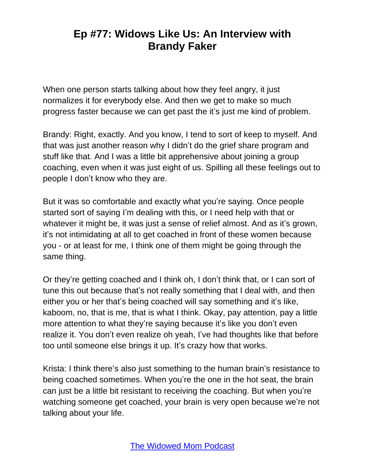When one person starts talking about how they feel angry, it just normalizes it for everybody else. And then we get to make so much progress faster because we can get past the it's just me kind of problem.

Brandy: Right, exactly. And you know, I tend to sort of keep to myself. And that was just another reason why I didn't do the grief share program and stuff like that. And I was a little bit apprehensive about joining a group coaching, even when it was just eight of us. Spilling all these feelings out to people I don't know who they are.

But it was so comfortable and exactly what you're saying. Once people started sort of saying I'm dealing with this, or I need help with that or whatever it might be, it was just a sense of relief almost. And as it's grown, it's not intimidating at all to get coached in front of these women because you - or at least for me, I think one of them might be going through the same thing.

Or they're getting coached and I think oh, I don't think that, or I can sort of tune this out because that's not really something that I deal with, and then either you or her that's being coached will say something and it's like, kaboom, no, that is me, that is what I think. Okay, pay attention, pay a little more attention to what they're saying because it's like you don't even realize it. You don't even realize oh yeah, I've had thoughts like that before too until someone else brings it up. It's crazy how that works.

Krista: I think there's also just something to the human brain's resistance to being coached sometimes. When you're the one in the hot seat, the brain can just be a little bit resistant to receiving the coaching. But when you're watching someone get coached, your brain is very open because we're not talking about your life.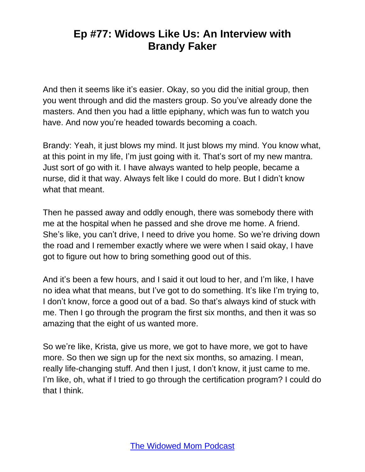And then it seems like it's easier. Okay, so you did the initial group, then you went through and did the masters group. So you've already done the masters. And then you had a little epiphany, which was fun to watch you have. And now you're headed towards becoming a coach.

Brandy: Yeah, it just blows my mind. It just blows my mind. You know what, at this point in my life, I'm just going with it. That's sort of my new mantra. Just sort of go with it. I have always wanted to help people, became a nurse, did it that way. Always felt like I could do more. But I didn't know what that meant.

Then he passed away and oddly enough, there was somebody there with me at the hospital when he passed and she drove me home. A friend. She's like, you can't drive, I need to drive you home. So we're driving down the road and I remember exactly where we were when I said okay, I have got to figure out how to bring something good out of this.

And it's been a few hours, and I said it out loud to her, and I'm like, I have no idea what that means, but I've got to do something. It's like I'm trying to, I don't know, force a good out of a bad. So that's always kind of stuck with me. Then I go through the program the first six months, and then it was so amazing that the eight of us wanted more.

So we're like, Krista, give us more, we got to have more, we got to have more. So then we sign up for the next six months, so amazing. I mean, really life-changing stuff. And then I just, I don't know, it just came to me. I'm like, oh, what if I tried to go through the certification program? I could do that I think.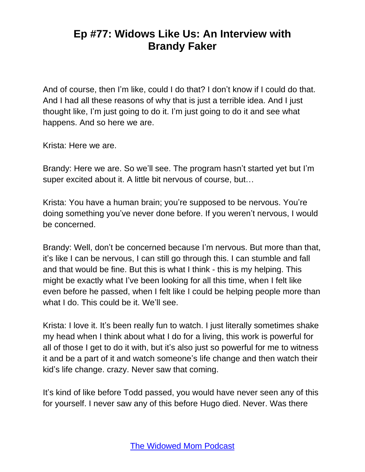And of course, then I'm like, could I do that? I don't know if I could do that. And I had all these reasons of why that is just a terrible idea. And I just thought like, I'm just going to do it. I'm just going to do it and see what happens. And so here we are.

Krista: Here we are.

Brandy: Here we are. So we'll see. The program hasn't started yet but I'm super excited about it. A little bit nervous of course, but…

Krista: You have a human brain; you're supposed to be nervous. You're doing something you've never done before. If you weren't nervous, I would be concerned.

Brandy: Well, don't be concerned because I'm nervous. But more than that, it's like I can be nervous, I can still go through this. I can stumble and fall and that would be fine. But this is what I think - this is my helping. This might be exactly what I've been looking for all this time, when I felt like even before he passed, when I felt like I could be helping people more than what I do. This could be it. We'll see.

Krista: I love it. It's been really fun to watch. I just literally sometimes shake my head when I think about what I do for a living, this work is powerful for all of those I get to do it with, but it's also just so powerful for me to witness it and be a part of it and watch someone's life change and then watch their kid's life change. crazy. Never saw that coming.

It's kind of like before Todd passed, you would have never seen any of this for yourself. I never saw any of this before Hugo died. Never. Was there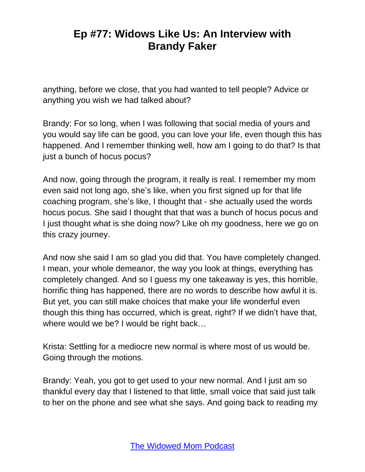anything, before we close, that you had wanted to tell people? Advice or anything you wish we had talked about?

Brandy: For so long, when I was following that social media of yours and you would say life can be good, you can love your life, even though this has happened. And I remember thinking well, how am I going to do that? Is that just a bunch of hocus pocus?

And now, going through the program, it really is real. I remember my mom even said not long ago, she's like, when you first signed up for that life coaching program, she's like, I thought that - she actually used the words hocus pocus. She said I thought that that was a bunch of hocus pocus and I just thought what is she doing now? Like oh my goodness, here we go on this crazy journey.

And now she said I am so glad you did that. You have completely changed. I mean, your whole demeanor, the way you look at things, everything has completely changed. And so I guess my one takeaway is yes, this horrible, horrific thing has happened, there are no words to describe how awful it is. But yet, you can still make choices that make your life wonderful even though this thing has occurred, which is great, right? If we didn't have that, where would we be? I would be right back…

Krista: Settling for a mediocre new normal is where most of us would be. Going through the motions.

Brandy: Yeah, you got to get used to your new normal. And I just am so thankful every day that I listened to that little, small voice that said just talk to her on the phone and see what she says. And going back to reading my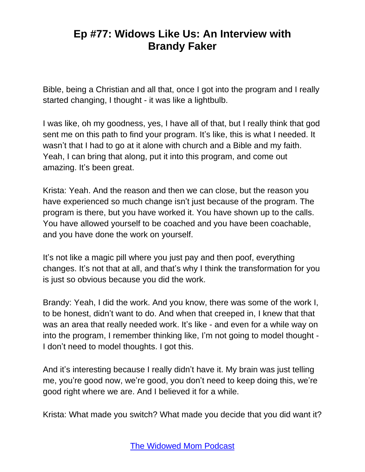Bible, being a Christian and all that, once I got into the program and I really started changing, I thought - it was like a lightbulb.

I was like, oh my goodness, yes, I have all of that, but I really think that god sent me on this path to find your program. It's like, this is what I needed. It wasn't that I had to go at it alone with church and a Bible and my faith. Yeah, I can bring that along, put it into this program, and come out amazing. It's been great.

Krista: Yeah. And the reason and then we can close, but the reason you have experienced so much change isn't just because of the program. The program is there, but you have worked it. You have shown up to the calls. You have allowed yourself to be coached and you have been coachable, and you have done the work on yourself.

It's not like a magic pill where you just pay and then poof, everything changes. It's not that at all, and that's why I think the transformation for you is just so obvious because you did the work.

Brandy: Yeah, I did the work. And you know, there was some of the work I, to be honest, didn't want to do. And when that creeped in, I knew that that was an area that really needed work. It's like - and even for a while way on into the program, I remember thinking like, I'm not going to model thought - I don't need to model thoughts. I got this.

And it's interesting because I really didn't have it. My brain was just telling me, you're good now, we're good, you don't need to keep doing this, we're good right where we are. And I believed it for a while.

Krista: What made you switch? What made you decide that you did want it?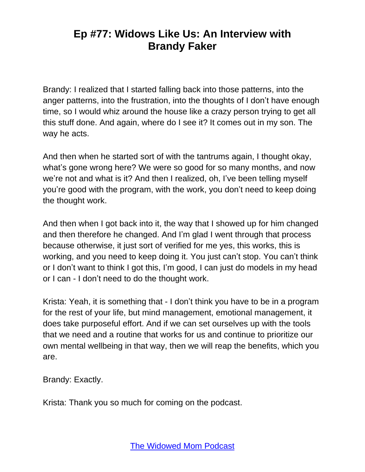Brandy: I realized that I started falling back into those patterns, into the anger patterns, into the frustration, into the thoughts of I don't have enough time, so I would whiz around the house like a crazy person trying to get all this stuff done. And again, where do I see it? It comes out in my son. The way he acts.

And then when he started sort of with the tantrums again, I thought okay, what's gone wrong here? We were so good for so many months, and now we're not and what is it? And then I realized, oh, I've been telling myself you're good with the program, with the work, you don't need to keep doing the thought work.

And then when I got back into it, the way that I showed up for him changed and then therefore he changed. And I'm glad I went through that process because otherwise, it just sort of verified for me yes, this works, this is working, and you need to keep doing it. You just can't stop. You can't think or I don't want to think I got this, I'm good, I can just do models in my head or I can - I don't need to do the thought work.

Krista: Yeah, it is something that - I don't think you have to be in a program for the rest of your life, but mind management, emotional management, it does take purposeful effort. And if we can set ourselves up with the tools that we need and a routine that works for us and continue to prioritize our own mental wellbeing in that way, then we will reap the benefits, which you are.

Brandy: Exactly.

Krista: Thank you so much for coming on the podcast.